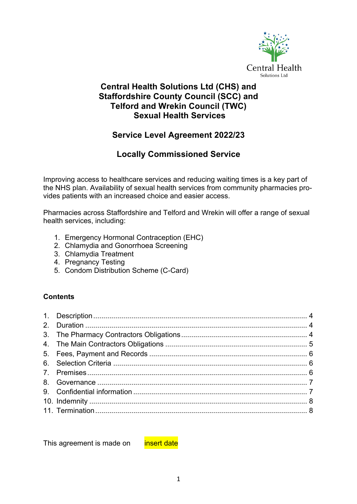

### **Central Health Solutions Ltd (CHS) and Staffordshire County Council (SCC) and Telford and Wrekin Council (TWC) Sexual Health Services**

### **Service Level Agreement 2022/23**

### **Locally Commissioned Service**

Improving access to healthcare services and reducing waiting times is a key part of the NHS plan. Availability of sexual health services from community pharmacies provides patients with an increased choice and easier access.

Pharmacies across Staffordshire and Telford and Wrekin will offer a range of sexual health services, including:

- 1. Emergency Hormonal Contraception (EHC)
- 2. Chlamydia and Gonorrhoea Screening
- 3. Chlamydia Treatment
- 4. Pregnancy Testing
- 5. Condom Distribution Scheme (C-Card)

#### **Contents**

This agreement is made on **insert date**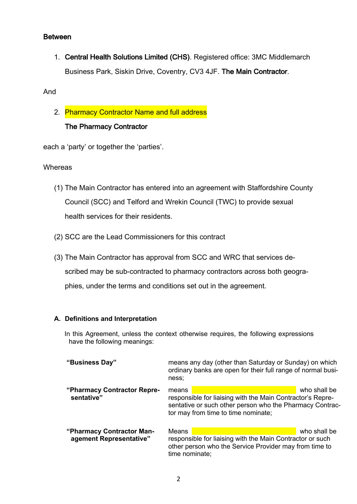#### Between

1. Central Health Solutions Limited (CHS). Registered office: 3MC Middlemarch Business Park, Siskin Drive, Coventry, CV3 4JF. The Main Contractor.

And

2. Pharmacy Contractor Name and full address The Pharmacy Contractor

each a 'party' or together the 'parties'.

#### Whereas

- (1) The Main Contractor has entered into an agreement with Staffordshire County Council (SCC) and Telford and Wrekin Council (TWC) to provide sexual health services for their residents.
- (2) SCC are the Lead Commissioners for this contract
- (3) The Main Contractor has approval from SCC and WRC that services described may be sub-contracted to pharmacy contractors across both geographies, under the terms and conditions set out in the agreement.

#### **A. Definitions and Interpretation**

In this Agreement, unless the context otherwise requires, the following expressions have the following meanings:

| "Business Day"                                       | means any day (other than Saturday or Sunday) on which<br>ordinary banks are open for their full range of normal busi-<br>ness:                                        |              |  |
|------------------------------------------------------|------------------------------------------------------------------------------------------------------------------------------------------------------------------------|--------------|--|
| "Pharmacy Contractor Repre-<br>sentative"            | means<br>responsible for liaising with the Main Contractor's Repre-<br>sentative or such other person who the Pharmacy Contrac-<br>tor may from time to time nominate; | who shall be |  |
| "Pharmacy Contractor Man-<br>agement Representative" | Means<br>responsible for liaising with the Main Contractor or such<br>other person who the Service Provider may from time to<br>time nominate;                         | who shall be |  |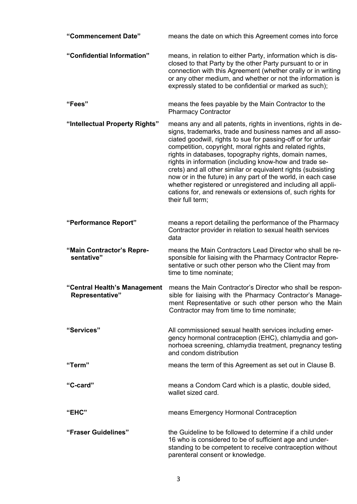| "Commencement Date"                             | means the date on which this Agreement comes into force                                                                                                                                                                                                                                                                                                                                                                                                                                                                                                                                                                                                        |  |  |  |
|-------------------------------------------------|----------------------------------------------------------------------------------------------------------------------------------------------------------------------------------------------------------------------------------------------------------------------------------------------------------------------------------------------------------------------------------------------------------------------------------------------------------------------------------------------------------------------------------------------------------------------------------------------------------------------------------------------------------------|--|--|--|
| "Confidential Information"                      | means, in relation to either Party, information which is dis-<br>closed to that Party by the other Party pursuant to or in<br>connection with this Agreement (whether orally or in writing<br>or any other medium, and whether or not the information is<br>expressly stated to be confidential or marked as such);                                                                                                                                                                                                                                                                                                                                            |  |  |  |
| "Fees"                                          | means the fees payable by the Main Contractor to the<br><b>Pharmacy Contractor</b>                                                                                                                                                                                                                                                                                                                                                                                                                                                                                                                                                                             |  |  |  |
| "Intellectual Property Rights"                  | means any and all patents, rights in inventions, rights in de-<br>signs, trademarks, trade and business names and all asso-<br>ciated goodwill, rights to sue for passing-off or for unfair<br>competition, copyright, moral rights and related rights,<br>rights in databases, topography rights, domain names,<br>rights in information (including know-how and trade se-<br>crets) and all other similar or equivalent rights (subsisting<br>now or in the future) in any part of the world, in each case<br>whether registered or unregistered and including all appli-<br>cations for, and renewals or extensions of, such rights for<br>their full term; |  |  |  |
| "Performance Report"                            | means a report detailing the performance of the Pharmacy<br>Contractor provider in relation to sexual health services<br>data                                                                                                                                                                                                                                                                                                                                                                                                                                                                                                                                  |  |  |  |
| "Main Contractor's Repre-                       | means the Main Contractors Lead Director who shall be re-                                                                                                                                                                                                                                                                                                                                                                                                                                                                                                                                                                                                      |  |  |  |
| sentative"                                      | sponsible for liaising with the Pharmacy Contractor Repre-<br>sentative or such other person who the Client may from<br>time to time nominate;                                                                                                                                                                                                                                                                                                                                                                                                                                                                                                                 |  |  |  |
| "Central Health's Management<br>Representative" | means the Main Contractor's Director who shall be respon-<br>sible for liaising with the Pharmacy Contractor's Manage-<br>ment Representative or such other person who the Main<br>Contractor may from time to time nominate;                                                                                                                                                                                                                                                                                                                                                                                                                                  |  |  |  |
| "Services"                                      | All commissioned sexual health services including emer-<br>gency hormonal contraception (EHC), chlamydia and gon-<br>norhoea screening, chlamydia treatment, pregnancy testing<br>and condom distribution                                                                                                                                                                                                                                                                                                                                                                                                                                                      |  |  |  |
| "Term"                                          | means the term of this Agreement as set out in Clause B.                                                                                                                                                                                                                                                                                                                                                                                                                                                                                                                                                                                                       |  |  |  |
| "C-card"                                        | means a Condom Card which is a plastic, double sided,<br>wallet sized card.                                                                                                                                                                                                                                                                                                                                                                                                                                                                                                                                                                                    |  |  |  |
| "EHC"                                           | means Emergency Hormonal Contraception                                                                                                                                                                                                                                                                                                                                                                                                                                                                                                                                                                                                                         |  |  |  |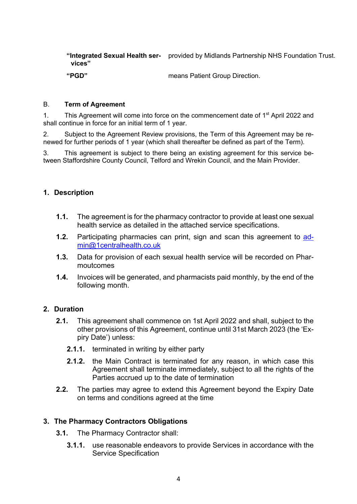**"Integrated Sexual Health ser-**provided by Midlands Partnership NHS Foundation Trust. **vices"**

**"PGD"** means Patient Group Direction.

#### B. **Term of Agreement**

1. This Agreement will come into force on the commencement date of 1<sup>st</sup> April 2022 and shall continue in force for an initial term of 1 year.

2. Subject to the Agreement Review provisions, the Term of this Agreement may be renewed for further periods of 1 year (which shall thereafter be defined as part of the Term).

3. This agreement is subject to there being an existing agreement for this service between Staffordshire County Council, Telford and Wrekin Council, and the Main Provider.

#### **1. Description**

- **1.1.** The agreement is for the pharmacy contractor to provide at least one sexual health service as detailed in the attached service specifications.
- **1.2.** Participating pharmacies can print, sign and scan this agreement to admin@1centralhealth.co.uk
- **1.3.** Data for provision of each sexual health service will be recorded on Pharmoutcomes
- **1.4.** Invoices will be generated, and pharmacists paid monthly, by the end of the following month.

#### **2. Duration**

- **2.1.** This agreement shall commence on 1st April 2022 and shall, subject to the other provisions of this Agreement, continue until 31st March 2023 (the 'Expiry Date') unless:
	- **2.1.1.** terminated in writing by either party
	- **2.1.2.** the Main Contract is terminated for any reason, in which case this Agreement shall terminate immediately, subject to all the rights of the Parties accrued up to the date of termination
- **2.2.** The parties may agree to extend this Agreement beyond the Expiry Date on terms and conditions agreed at the time

#### **3. The Pharmacy Contractors Obligations**

- **3.1.** The Pharmacy Contractor shall:
	- **3.1.1.** use reasonable endeavors to provide Services in accordance with the Service Specification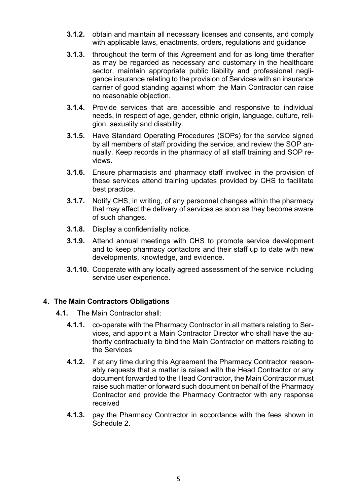- **3.1.2.** obtain and maintain all necessary licenses and consents, and comply with applicable laws, enactments, orders, regulations and guidance
- **3.1.3.** throughout the term of this Agreement and for as long time therafter as may be regarded as necessary and customary in the healthcare sector, maintain appropriate public liability and professional negligence insurance relating to the provision of Services with an insurance carrier of good standing against whom the Main Contractor can raise no reasonable objection.
- **3.1.4.** Provide services that are accessible and responsive to individual needs, in respect of age, gender, ethnic origin, language, culture, religion, sexuality and disability.
- **3.1.5.** Have Standard Operating Procedures (SOPs) for the service signed by all members of staff providing the service, and review the SOP annually. Keep records in the pharmacy of all staff training and SOP reviews.
- **3.1.6.** Ensure pharmacists and pharmacy staff involved in the provision of these services attend training updates provided by CHS to facilitate best practice.
- **3.1.7.** Notify CHS, in writing, of any personnel changes within the pharmacy that may affect the delivery of services as soon as they become aware of such changes.
- **3.1.8.** Display a confidentiality notice.
- **3.1.9.** Attend annual meetings with CHS to promote service development and to keep pharmacy contactors and their staff up to date with new developments, knowledge, and evidence.
- **3.1.10.** Cooperate with any locally agreed assessment of the service including service user experience.

#### **4. The Main Contractors Obligations**

- **4.1.** The Main Contractor shall:
	- **4.1.1.** co-operate with the Pharmacy Contractor in all matters relating to Services, and appoint a Main Contractor Director who shall have the authority contractually to bind the Main Contractor on matters relating to the Services
	- **4.1.2.** if at any time during this Agreement the Pharmacy Contractor reasonably requests that a matter is raised with the Head Contractor or any document forwarded to the Head Contractor, the Main Contractor must raise such matter or forward such document on behalf of the Pharmacy Contractor and provide the Pharmacy Contractor with any response received
	- **4.1.3.** pay the Pharmacy Contractor in accordance with the fees shown in Schedule 2.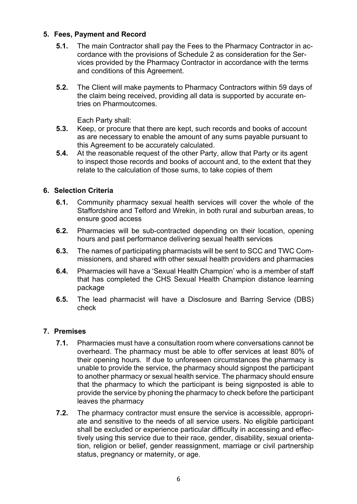#### **5. Fees, Payment and Record**

- **5.1.** The main Contractor shall pay the Fees to the Pharmacy Contractor in accordance with the provisions of Schedule 2 as consideration for the Services provided by the Pharmacy Contractor in accordance with the terms and conditions of this Agreement.
- **5.2.** The Client will make payments to Pharmacy Contractors within 59 days of the claim being received, providing all data is supported by accurate entries on Pharmoutcomes.

Each Party shall:

- **5.3.** Keep, or procure that there are kept, such records and books of account as are necessary to enable the amount of any sums payable pursuant to this Agreement to be accurately calculated.
- **5.4.** At the reasonable request of the other Party, allow that Party or its agent to inspect those records and books of account and, to the extent that they relate to the calculation of those sums, to take copies of them

#### **6. Selection Criteria**

- **6.1.** Community pharmacy sexual health services will cover the whole of the Staffordshire and Telford and Wrekin, in both rural and suburban areas, to ensure good access
- **6.2.** Pharmacies will be sub-contracted depending on their location, opening hours and past performance delivering sexual health services
- **6.3.** The names of participating pharmacists will be sent to SCC and TWC Commissioners, and shared with other sexual health providers and pharmacies
- **6.4.** Pharmacies will have a 'Sexual Health Champion' who is a member of staff that has completed the CHS Sexual Health Champion distance learning package
- **6.5.** The lead pharmacist will have a Disclosure and Barring Service (DBS) check

#### **7. Premises**

- **7.1.** Pharmacies must have a consultation room where conversations cannot be overheard. The pharmacy must be able to offer services at least 80% of their opening hours. If due to unforeseen circumstances the pharmacy is unable to provide the service, the pharmacy should signpost the participant to another pharmacy or sexual health service. The pharmacy should ensure that the pharmacy to which the participant is being signposted is able to provide the service by phoning the pharmacy to check before the participant leaves the pharmacy
- **7.2.** The pharmacy contractor must ensure the service is accessible, appropriate and sensitive to the needs of all service users. No eligible participant shall be excluded or experience particular difficulty in accessing and effectively using this service due to their race, gender, disability, sexual orientation, religion or belief, gender reassignment, marriage or civil partnership status, pregnancy or maternity, or age.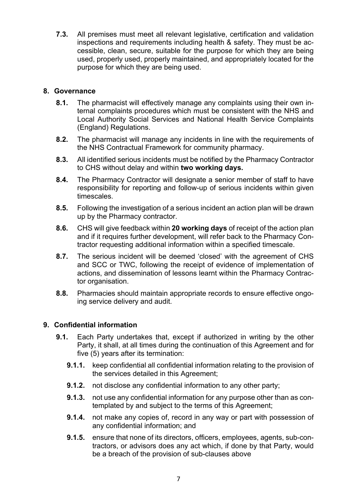**7.3.** All premises must meet all relevant legislative, certification and validation inspections and requirements including health & safety. They must be accessible, clean, secure, suitable for the purpose for which they are being used, properly used, properly maintained, and appropriately located for the purpose for which they are being used.

#### **8. Governance**

- **8.1.** The pharmacist will effectively manage any complaints using their own internal complaints procedures which must be consistent with the NHS and Local Authority Social Services and National Health Service Complaints (England) Regulations.
- **8.2.** The pharmacist will manage any incidents in line with the requirements of the NHS Contractual Framework for community pharmacy.
- **8.3.** All identified serious incidents must be notified by the Pharmacy Contractor to CHS without delay and within **two working days.**
- **8.4.** The Pharmacy Contractor will designate a senior member of staff to have responsibility for reporting and follow-up of serious incidents within given timescales.
- **8.5.** Following the investigation of a serious incident an action plan will be drawn up by the Pharmacy contractor.
- **8.6.** CHS will give feedback within **20 working days** of receipt of the action plan and if it requires further development, will refer back to the Pharmacy Contractor requesting additional information within a specified timescale.
- **8.7.** The serious incident will be deemed 'closed' with the agreement of CHS and SCC or TWC, following the receipt of evidence of implementation of actions, and dissemination of lessons learnt within the Pharmacy Contractor organisation.
- **8.8.** Pharmacies should maintain appropriate records to ensure effective ongoing service delivery and audit.

#### **9. Confidential information**

- **9.1.** Each Party undertakes that, except if authorized in writing by the other Party, it shall, at all times during the continuation of this Agreement and for five (5) years after its termination:
	- **9.1.1.** keep confidential all confidential information relating to the provision of the services detailed in this Agreement;
	- **9.1.2.** not disclose any confidential information to any other party;
	- **9.1.3.** not use any confidential information for any purpose other than as contemplated by and subject to the terms of this Agreement;
	- **9.1.4.** not make any copies of, record in any way or part with possession of any confidential information; and
	- **9.1.5.** ensure that none of its directors, officers, employees, agents, sub-contractors, or advisors does any act which, if done by that Party, would be a breach of the provision of sub-clauses above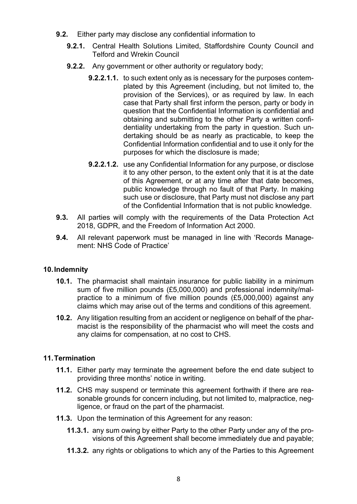- **9.2.** Either party may disclose any confidential information to
	- **9.2.1.** Central Health Solutions Limited, Staffordshire County Council and Telford and Wrekin Council
	- **9.2.2.** Any government or other authority or regulatory body;
		- **9.2.2.1.1.** to such extent only as is necessary for the purposes contemplated by this Agreement (including, but not limited to, the provision of the Services), or as required by law. In each case that Party shall first inform the person, party or body in question that the Confidential Information is confidential and obtaining and submitting to the other Party a written confidentiality undertaking from the party in question. Such undertaking should be as nearly as practicable, to keep the Confidential Information confidential and to use it only for the purposes for which the disclosure is made;
		- **9.2.2.1.2.** use any Confidential Information for any purpose, or disclose it to any other person, to the extent only that it is at the date of this Agreement, or at any time after that date becomes, public knowledge through no fault of that Party. In making such use or disclosure, that Party must not disclose any part of the Confidential Information that is not public knowledge.
- **9.3.** All parties will comply with the requirements of the Data Protection Act 2018, GDPR, and the Freedom of Information Act 2000.
- **9.4.** All relevant paperwork must be managed in line with 'Records Management: NHS Code of Practice'

#### **10.Indemnity**

- **10.1.** The pharmacist shall maintain insurance for public liability in a minimum sum of five million pounds (£5,000,000) and professional indemnity/malpractice to a minimum of five million pounds (£5,000,000) against any claims which may arise out of the terms and conditions of this agreement.
- **10.2.** Any litigation resulting from an accident or negligence on behalf of the pharmacist is the responsibility of the pharmacist who will meet the costs and any claims for compensation, at no cost to CHS.

#### **11.Termination**

- **11.1.** Either party may terminate the agreement before the end date subject to providing three months' notice in writing.
- **11.2.** CHS may suspend or terminate this agreement forthwith if there are reasonable grounds for concern including, but not limited to, malpractice, negligence, or fraud on the part of the pharmacist.
- **11.3.** Upon the termination of this Agreement for any reason:
	- **11.3.1.** any sum owing by either Party to the other Party under any of the provisions of this Agreement shall become immediately due and payable;
	- **11.3.2.** any rights or obligations to which any of the Parties to this Agreement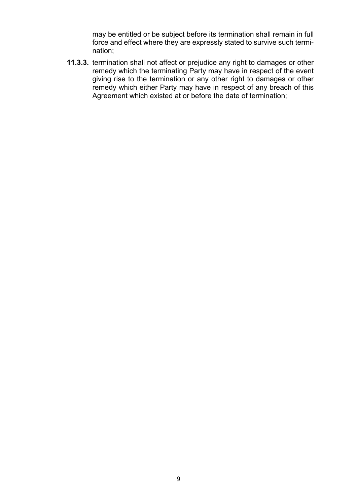may be entitled or be subject before its termination shall remain in full force and effect where they are expressly stated to survive such termination;

**11.3.3.** termination shall not affect or prejudice any right to damages or other remedy which the terminating Party may have in respect of the event giving rise to the termination or any other right to damages or other remedy which either Party may have in respect of any breach of this Agreement which existed at or before the date of termination;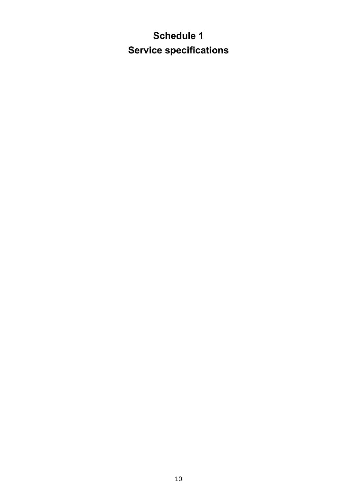# **Schedule 1 Service specifications**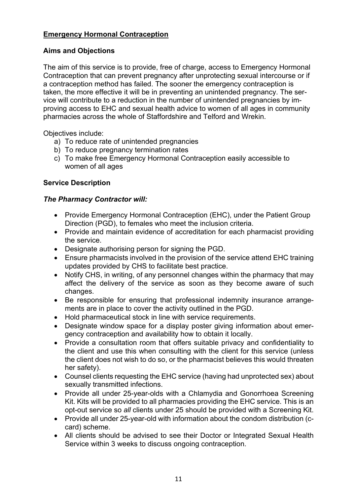#### **Emergency Hormonal Contraception**

#### **Aims and Objections**

The aim of this service is to provide, free of charge, access to Emergency Hormonal Contraception that can prevent pregnancy after unprotecting sexual intercourse or if a contraception method has failed. The sooner the emergency contraception is taken, the more effective it will be in preventing an unintended pregnancy. The service will contribute to a reduction in the number of unintended pregnancies by improving access to EHC and sexual health advice to women of all ages in community pharmacies across the whole of Staffordshire and Telford and Wrekin.

Objectives include:

- a) To reduce rate of unintended pregnancies
- b) To reduce pregnancy termination rates
- c) To make free Emergency Hormonal Contraception easily accessible to women of all ages

#### **Service Description**

#### *The Pharmacy Contractor will:*

- Provide Emergency Hormonal Contraception (EHC), under the Patient Group Direction (PGD), to females who meet the inclusion criteria.
- Provide and maintain evidence of accreditation for each pharmacist providing the service.
- Designate authorising person for signing the PGD.
- Ensure pharmacists involved in the provision of the service attend EHC training updates provided by CHS to facilitate best practice.
- Notify CHS, in writing, of any personnel changes within the pharmacy that may affect the delivery of the service as soon as they become aware of such changes.
- Be responsible for ensuring that professional indemnity insurance arrangements are in place to cover the activity outlined in the PGD.
- Hold pharmaceutical stock in line with service requirements.
- Designate window space for a display poster giving information about emergency contraception and availability how to obtain it locally.
- Provide a consultation room that offers suitable privacy and confidentiality to the client and use this when consulting with the client for this service (unless the client does not wish to do so, or the pharmacist believes this would threaten her safety).
- Counsel clients requesting the EHC service (having had unprotected sex) about sexually transmitted infections.
- Provide all under 25-year-olds with a Chlamydia and Gonorrhoea Screening Kit. Kits will be provided to all pharmacies providing the EHC service. This is an opt-out service so *all* clients under 25 should be provided with a Screening Kit.
- Provide all under 25-year-old with information about the condom distribution (ccard) scheme.
- All clients should be advised to see their Doctor or Integrated Sexual Health Service within 3 weeks to discuss ongoing contraception.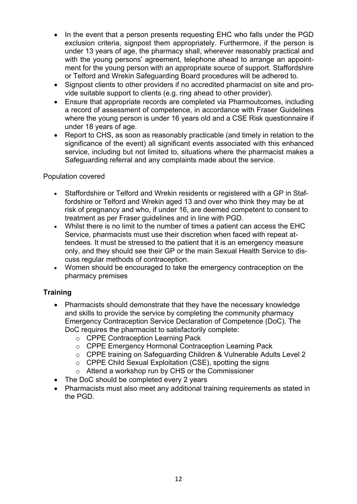- In the event that a person presents requesting EHC who falls under the PGD exclusion criteria, signpost them appropriately. Furthermore, if the person is under 13 years of age, the pharmacy shall, wherever reasonably practical and with the young persons' agreement, telephone ahead to arrange an appointment for the young person with an appropriate source of support. Staffordshire or Telford and Wrekin Safeguarding Board procedures will be adhered to.
- Signpost clients to other providers if no accredited pharmacist on site and provide suitable support to clients (e.g. ring ahead to other provider).
- Ensure that appropriate records are completed via Pharmoutcomes, including a record of assessment of competence, in accordance with Fraser Guidelines where the young person is under 16 years old and a CSE Risk questionnaire if under 18 years of age.
- Report to CHS, as soon as reasonably practicable (and timely in relation to the significance of the event) all significant events associated with this enhanced service, including but not limited to, situations where the pharmacist makes a Safeguarding referral and any complaints made about the service.

#### Population covered

- Staffordshire or Telford and Wrekin residents or registered with a GP in Staffordshire or Telford and Wrekin aged 13 and over who think they may be at risk of pregnancy and who, if under 16, are deemed competent to consent to treatment as per Fraser guidelines and in line with PGD.
- Whilst there is no limit to the number of times a patient can access the EHC Service, pharmacists must use their discretion when faced with repeat attendees. It must be stressed to the patient that it is an emergency measure only, and they should see their GP or the main Sexual Health Service to discuss regular methods of contraception.
- Women should be encouraged to take the emergency contraception on the pharmacy premises

#### **Training**

- Pharmacists should demonstrate that they have the necessary knowledge and skills to provide the service by completing the community pharmacy Emergency Contraception Service Declaration of Competence (DoC). The DoC requires the pharmacist to satisfactorily complete:
	- o CPPE Contraception Learning Pack
	- o CPPE Emergency Hormonal Contraception Learning Pack
	- o CPPE training on Safeguarding Children & Vulnerable Adults Level 2
	- o CPPE Child Sexual Exploitation (CSE), spotting the signs
	- o Attend a workshop run by CHS or the Commissioner
- The DoC should be completed every 2 years
- Pharmacists must also meet any additional training requirements as stated in the PGD.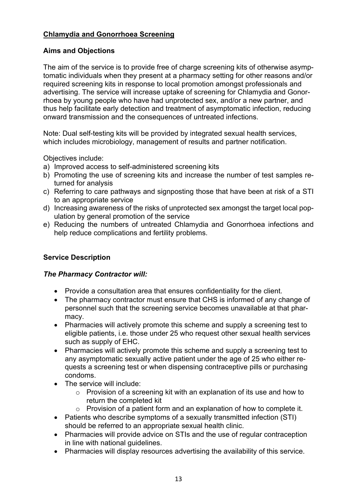#### **Chlamydia and Gonorrhoea Screening**

#### **Aims and Objections**

The aim of the service is to provide free of charge screening kits of otherwise asymptomatic individuals when they present at a pharmacy setting for other reasons and/or required screening kits in response to local promotion amongst professionals and advertising. The service will increase uptake of screening for Chlamydia and Gonorrhoea by young people who have had unprotected sex, and/or a new partner, and thus help facilitate early detection and treatment of asymptomatic infection, reducing onward transmission and the consequences of untreated infections.

Note: Dual self-testing kits will be provided by integrated sexual health services, which includes microbiology, management of results and partner notification.

Objectives include:

- a) Improved access to self-administered screening kits
- b) Promoting the use of screening kits and increase the number of test samples returned for analysis
- c) Referring to care pathways and signposting those that have been at risk of a STI to an appropriate service
- d) Increasing awareness of the risks of unprotected sex amongst the target local population by general promotion of the service
- e) Reducing the numbers of untreated Chlamydia and Gonorrhoea infections and help reduce complications and fertility problems.

#### **Service Description**

#### *The Pharmacy Contractor will:*

- Provide a consultation area that ensures confidentiality for the client.
- The pharmacy contractor must ensure that CHS is informed of any change of personnel such that the screening service becomes unavailable at that pharmacy.
- Pharmacies will actively promote this scheme and supply a screening test to eligible patients, i.e. those under 25 who request other sexual health services such as supply of EHC.
- Pharmacies will actively promote this scheme and supply a screening test to any asymptomatic sexually active patient under the age of 25 who either requests a screening test or when dispensing contraceptive pills or purchasing condoms.
- The service will include:
	- o Provision of a screening kit with an explanation of its use and how to return the completed kit
	- o Provision of a patient form and an explanation of how to complete it.
- Patients who describe symptoms of a sexually transmitted infection (STI) should be referred to an appropriate sexual health clinic.
- Pharmacies will provide advice on STIs and the use of regular contraception in line with national guidelines.
- Pharmacies will display resources advertising the availability of this service.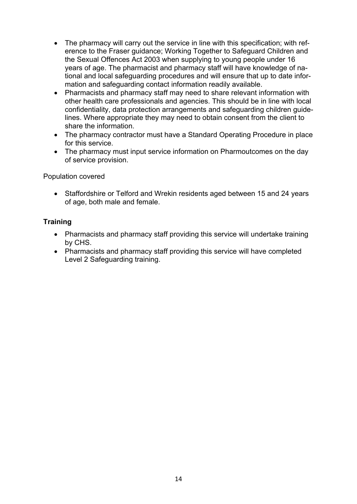- The pharmacy will carry out the service in line with this specification; with reference to the Fraser guidance; Working Together to Safeguard Children and the Sexual Offences Act 2003 when supplying to young people under 16 years of age. The pharmacist and pharmacy staff will have knowledge of national and local safeguarding procedures and will ensure that up to date information and safeguarding contact information readily available.
- Pharmacists and pharmacy staff may need to share relevant information with other health care professionals and agencies. This should be in line with local confidentiality, data protection arrangements and safeguarding children guidelines. Where appropriate they may need to obtain consent from the client to share the information.
- The pharmacy contractor must have a Standard Operating Procedure in place for this service.
- The pharmacy must input service information on Pharmoutcomes on the day of service provision.

Population covered

• Staffordshire or Telford and Wrekin residents aged between 15 and 24 years of age, both male and female.

#### **Training**

- Pharmacists and pharmacy staff providing this service will undertake training by CHS.
- Pharmacists and pharmacy staff providing this service will have completed Level 2 Safeguarding training.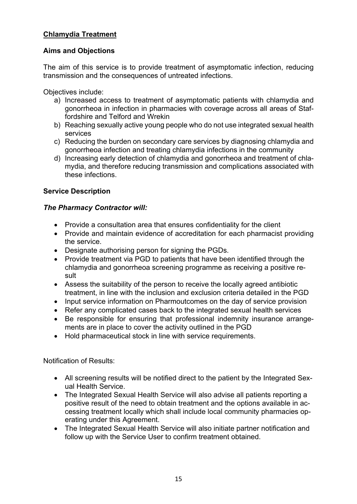#### **Chlamydia Treatment**

#### **Aims and Objections**

The aim of this service is to provide treatment of asymptomatic infection, reducing transmission and the consequences of untreated infections.

Objectives include:

- a) Increased access to treatment of asymptomatic patients with chlamydia and gonorrheoa in infection in pharmacies with coverage across all areas of Staffordshire and Telford and Wrekin
- b) Reaching sexually active young people who do not use integrated sexual health services
- c) Reducing the burden on secondary care services by diagnosing chlamydia and gonorrheoa infection and treating chlamydia infections in the community
- d) Increasing early detection of chlamydia and gonorrheoa and treatment of chlamydia, and therefore reducing transmission and complications associated with these infections.

#### **Service Description**

#### *The Pharmacy Contractor will:*

- Provide a consultation area that ensures confidentiality for the client
- Provide and maintain evidence of accreditation for each pharmacist providing the service.
- Designate authorising person for signing the PGDs.
- Provide treatment via PGD to patients that have been identified through the chlamydia and gonorrheoa screening programme as receiving a positive result
- Assess the suitability of the person to receive the locally agreed antibiotic treatment, in line with the inclusion and exclusion criteria detailed in the PGD
- Input service information on Pharmoutcomes on the day of service provision
- Refer any complicated cases back to the integrated sexual health services
- Be responsible for ensuring that professional indemnity insurance arrangements are in place to cover the activity outlined in the PGD
- Hold pharmaceutical stock in line with service requirements.

Notification of Results:

- All screening results will be notified direct to the patient by the Integrated Sexual Health Service.
- The Integrated Sexual Health Service will also advise all patients reporting a positive result of the need to obtain treatment and the options available in accessing treatment locally which shall include local community pharmacies operating under this Agreement.
- The Integrated Sexual Health Service will also initiate partner notification and follow up with the Service User to confirm treatment obtained.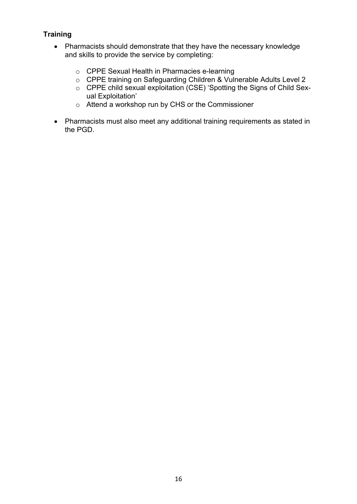#### **Training**

- Pharmacists should demonstrate that they have the necessary knowledge and skills to provide the service by completing:
	- o CPPE Sexual Health in Pharmacies e-learning
	- o CPPE training on Safeguarding Children & Vulnerable Adults Level 2
	- o CPPE child sexual exploitation (CSE) 'Spotting the Signs of Child Sexual Exploitation'
	- o Attend a workshop run by CHS or the Commissioner
- Pharmacists must also meet any additional training requirements as stated in the PGD.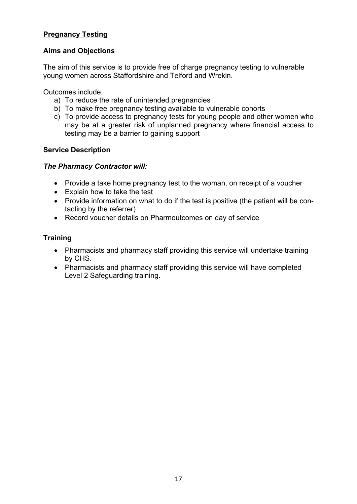#### **Pregnancy Testing**

#### **Aims and Objections**

The aim of this service is to provide free of charge pregnancy testing to vulnerable young women across Staffordshire and Telford and Wrekin.

Outcomes include:

- a) To reduce the rate of unintended pregnancies
- b) To make free pregnancy testing available to vulnerable cohorts
- c) To provide access to pregnancy tests for young people and other women who may be at a greater risk of unplanned pregnancy where financial access to testing may be a barrier to gaining support

#### **Service Description**

#### *The Pharmacy Contractor will:*

- Provide a take home pregnancy test to the woman, on receipt of a voucher
- Explain how to take the test
- Provide information on what to do if the test is positive (the patient will be contacting by the referrer)
- Record voucher details on Pharmoutcomes on day of service

#### **Training**

- Pharmacists and pharmacy staff providing this service will undertake training by CHS.
- Pharmacists and pharmacy staff providing this service will have completed Level 2 Safeguarding training.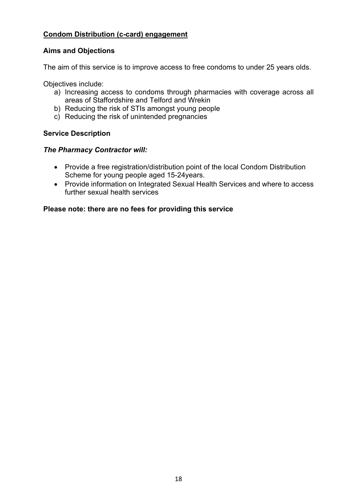#### **Condom Distribution (c-card) engagement**

#### **Aims and Objections**

The aim of this service is to improve access to free condoms to under 25 years olds.

Objectives include:

- a) Increasing access to condoms through pharmacies with coverage across all areas of Staffordshire and Telford and Wrekin
- b) Reducing the risk of STIs amongst young people
- c) Reducing the risk of unintended pregnancies

#### **Service Description**

#### *The Pharmacy Contractor will:*

- Provide a free registration/distribution point of the local Condom Distribution Scheme for young people aged 15-24years.
- Provide information on Integrated Sexual Health Services and where to access further sexual health services

#### **Please note: there are no fees for providing this service**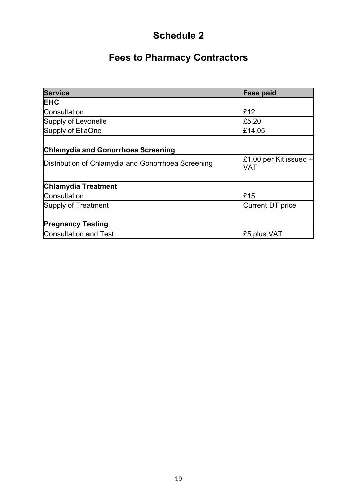# **Schedule 2**

# **Fees to Pharmacy Contractors**

| <b>Service</b>                                     | Fees paid                              |  |  |  |
|----------------------------------------------------|----------------------------------------|--|--|--|
| <b>EHC</b>                                         |                                        |  |  |  |
| Consultation                                       | £12                                    |  |  |  |
| Supply of Levonelle                                | £5.20                                  |  |  |  |
| Supply of EllaOne                                  | £14.05                                 |  |  |  |
|                                                    |                                        |  |  |  |
| <b>Chlamydia and Gonorrhoea Screening</b>          |                                        |  |  |  |
| Distribution of Chlamydia and Gonorrhoea Screening | £1.00 per Kit issued $+$<br><b>VAT</b> |  |  |  |
|                                                    |                                        |  |  |  |
| <b>Chlamydia Treatment</b>                         |                                        |  |  |  |
| Consultation                                       | E15                                    |  |  |  |
| Supply of Treatment                                | Current DT price                       |  |  |  |
|                                                    |                                        |  |  |  |
| <b>Pregnancy Testing</b>                           |                                        |  |  |  |
| Consultation and Test                              | £5 plus VAT                            |  |  |  |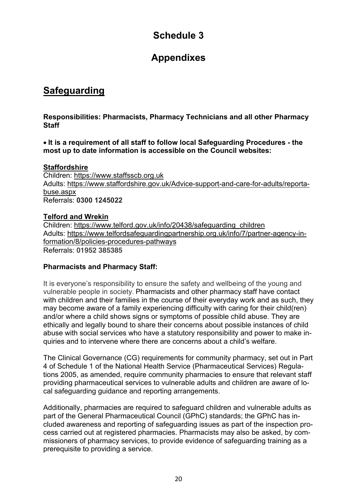# **Schedule 3**

## **Appendixes**

## **Safeguarding**

**Responsibilities: Pharmacists, Pharmacy Technicians and all other Pharmacy Staff**

• **It is a requirement of all staff to follow local Safeguarding Procedures - the most up to date information is accessible on the Council websites:** 

#### **Staffordshire**

Children: https://www.staffsscb.org.uk Adults: https://www.staffordshire.gov.uk/Advice-support-and-care-for-adults/reportabuse.aspx Referrals: **0300 1245022**

#### **Telford and Wrekin**

Children: https://www.telford.gov.uk/info/20438/safeguarding\_children Adults: https://www.telfordsafeguardingpartnership.org.uk/info/7/partner-agency-information/8/policies-procedures-pathways Referrals: **01952 385385**

#### **Pharmacists and Pharmacy Staff:**

It is everyone's responsibility to ensure the safety and wellbeing of the young and vulnerable people in society. Pharmacists and other pharmacy staff have contact with children and their families in the course of their everyday work and as such, they may become aware of a family experiencing difficulty with caring for their child(ren) and/or where a child shows signs or symptoms of possible child abuse. They are ethically and legally bound to share their concerns about possible instances of child abuse with social services who have a statutory responsibility and power to make inquiries and to intervene where there are concerns about a child's welfare.

The Clinical Governance (CG) requirements for community pharmacy, set out in Part 4 of Schedule 1 of the National Health Service (Pharmaceutical Services) Regulations 2005, as amended, require community pharmacies to ensure that relevant staff providing pharmaceutical services to vulnerable adults and children are aware of local safeguarding guidance and reporting arrangements.

Additionally, pharmacies are required to safeguard children and vulnerable adults as part of the General Pharmaceutical Council (GPhC) standards; the GPhC has included awareness and reporting of safeguarding issues as part of the inspection process carried out at registered pharmacies. Pharmacists may also be asked, by commissioners of pharmacy services, to provide evidence of safeguarding training as a prerequisite to providing a service.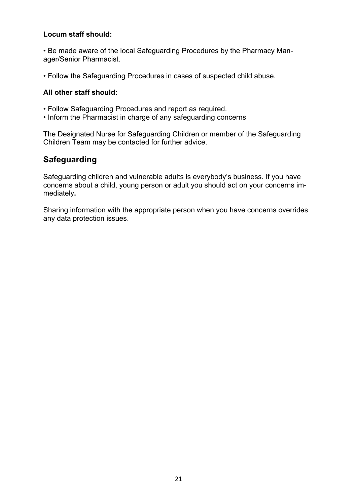#### **Locum staff should:**

• Be made aware of the local Safeguarding Procedures by the Pharmacy Manager/Senior Pharmacist.

• Follow the Safeguarding Procedures in cases of suspected child abuse.

#### **All other staff should:**

- Follow Safeguarding Procedures and report as required.
- Inform the Pharmacist in charge of any safeguarding concerns

The Designated Nurse for Safeguarding Children or member of the Safeguarding Children Team may be contacted for further advice.

### **Safeguarding**

Safeguarding children and vulnerable adults is everybody's business. If you have concerns about a child, young person or adult you should act on your concerns immediately**.** 

Sharing information with the appropriate person when you have concerns overrides any data protection issues.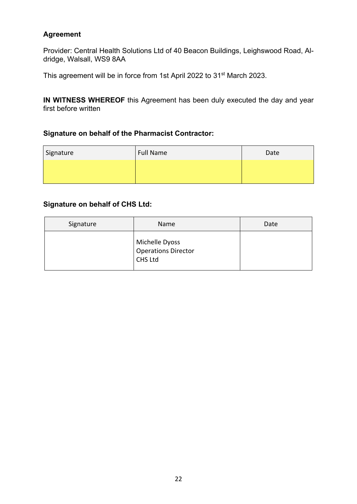#### **Agreement**

Provider: Central Health Solutions Ltd of 40 Beacon Buildings, Leighswood Road, Aldridge, Walsall, WS9 8AA

This agreement will be in force from 1st April 2022 to 31<sup>st</sup> March 2023.

**IN WITNESS WHEREOF** this Agreement has been duly executed the day and year first before written

#### **Signature on behalf of the Pharmacist Contractor:**

| Signature | <b>Full Name</b> | Date |
|-----------|------------------|------|
|           |                  |      |

#### **Signature on behalf of CHS Ltd:**

| Signature | Name                                                    | Date |  |  |
|-----------|---------------------------------------------------------|------|--|--|
|           | Michelle Dyoss<br>Operations Director<br><b>CHS Ltd</b> |      |  |  |